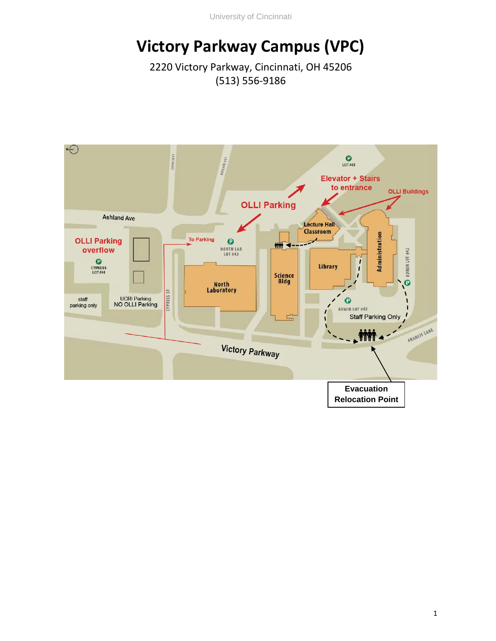University of Cincinnati

## **Victory Parkway Campus (VPC)**

2220 Victory Parkway, Cincinnati, OH 45206 (513) 556-9186

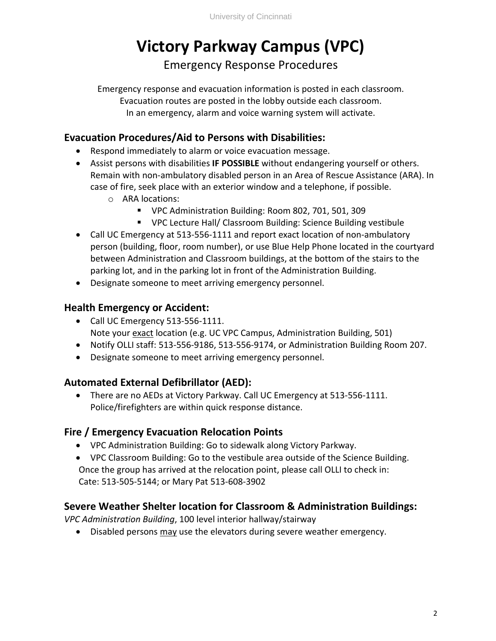# **Victory Parkway Campus (VPC)**

Emergency Response Procedures

Emergency response and evacuation information is posted in each classroom. Evacuation routes are posted in the lobby outside each classroom. In an emergency, alarm and voice warning system will activate.

### **Evacuation Procedures/Aid to Persons with Disabilities:**

- Respond immediately to alarm or voice evacuation message.
- Assist persons with disabilities **IF POSSIBLE** without endangering yourself or others. Remain with non-ambulatory disabled person in an Area of Rescue Assistance (ARA). In case of fire, seek place with an exterior window and a telephone, if possible.
	- o ARA locations:
		- VPC Administration Building: Room 802, 701, 501, 309
		- VPC Lecture Hall/ Classroom Building: Science Building vestibule
- Call UC Emergency at 513-556-1111 and report exact location of non-ambulatory person (building, floor, room number), or use Blue Help Phone located in the courtyard between Administration and Classroom buildings, at the bottom of the stairs to the parking lot, and in the parking lot in front of the Administration Building.
- Designate someone to meet arriving emergency personnel.

### **Health Emergency or Accident:**

- Call UC Emergency 513-556-1111. Note your exact location (e.g. UC VPC Campus, Administration Building, 501)
- Notify OLLI staff: 513-556-9186, 513-556-9174, or Administration Building Room 207.
- Designate someone to meet arriving emergency personnel.

### **Automated External Defibrillator (AED):**

• There are no AEDs at Victory Parkway. Call UC Emergency at 513-556-1111. Police/firefighters are within quick response distance.

### **Fire / Emergency Evacuation Relocation Points**

- VPC Administration Building: Go to sidewalk along Victory Parkway.
- VPC Classroom Building: Go to the vestibule area outside of the Science Building. Once the group has arrived at the relocation point, please call OLLI to check in: Cate: 513-505-5144; or Mary Pat 513-608-3902

### **Severe Weather Shelter location for Classroom & Administration Buildings:**

*VPC Administration Building*, 100 level interior hallway/stairway

• Disabled persons may use the elevators during severe weather emergency.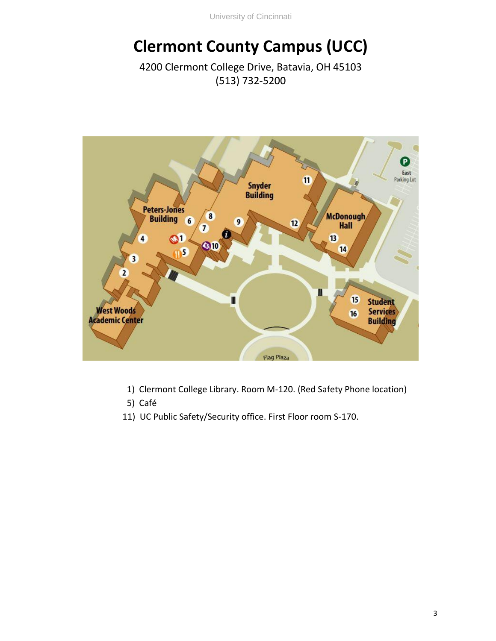University of Cincinnati

## **Clermont County Campus (UCC)**

4200 Clermont College Drive, Batavia, OH 45103 (513) 732-5200



- 1) Clermont College Library. Room M-120. (Red Safety Phone location)
- 5) Café
- 11) UC Public Safety/Security office. First Floor room S-170.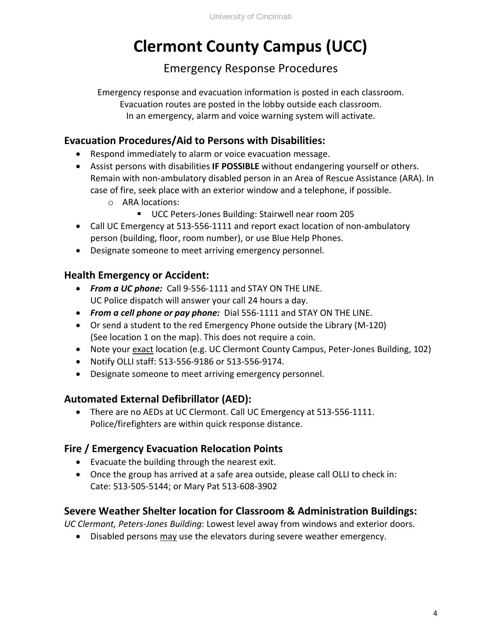## **Clermont County Campus (UCC)**

### Emergency Response Procedures

Emergency response and evacuation information is posted in each classroom. Evacuation routes are posted in the lobby outside each classroom. In an emergency, alarm and voice warning system will activate.

#### **Evacuation Procedures/Aid to Persons with Disabilities:**

- Respond immediately to alarm or voice evacuation message.
- Assist persons with disabilities **IF POSSIBLE** without endangering yourself or others. Remain with non-ambulatory disabled person in an Area of Rescue Assistance (ARA). In case of fire, seek place with an exterior window and a telephone, if possible.
	- o ARA locations:
		- UCC Peters-Jones Building: Stairwell near room 205
- Call UC Emergency at 513-556-1111 and report exact location of non-ambulatory person (building, floor, room number), or use Blue Help Phones.
- Designate someone to meet arriving emergency personnel.

### **Health Emergency or Accident:**

- *From a UC phone:* Call 9-556-1111 and STAY ON THE LINE. UC Police dispatch will answer your call 24 hours a day.
- *From a cell phone or pay phone:* Dial 556-1111 and STAY ON THE LINE.
- Or send a student to the red Emergency Phone outside the Library (M-120) (See location 1 on the map). This does not require a coin.
- Note your exact location (e.g. UC Clermont County Campus, Peter-Jones Building, 102)
- Notify OLLI staff: 513-556-9186 or 513-556-9174.
- Designate someone to meet arriving emergency personnel.

#### **Automated External Defibrillator (AED):**

• There are no AEDs at UC Clermont. Call UC Emergency at 513-556-1111. Police/firefighters are within quick response distance.

### **Fire / Emergency Evacuation Relocation Points**

- Evacuate the building through the nearest exit.
- Once the group has arrived at a safe area outside, please call OLLI to check in: Cate: 513-505-5144; or Mary Pat 513-608-3902

### **Severe Weather Shelter location for Classroom & Administration Buildings:**

*UC Clermont, Peters-Jones Building*: Lowest level away from windows and exterior doors.

• Disabled persons may use the elevators during severe weather emergency.